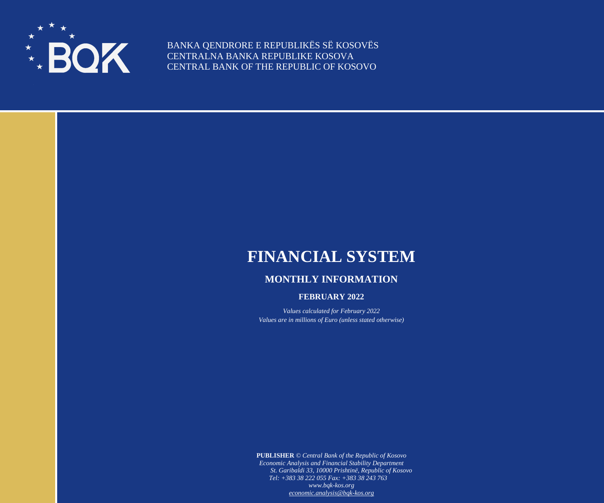

BANKA QENDRORE E REPUBLIKËS SË KOSOVËS CENTRALNA BANKA REPUBLIKE KOSOVA CENTRAL BANK OF THE REPUBLIC OF KOSOVO

## **FINANCIAL SYSTEM**

## **MONTHLY INFORMATION**

## **FEBRUARY 2022**

*Values calculated for February 2022 Values are in millions of Euro (unless stated otherwise)*

**PUBLISHER** *© Central Bank of the Republic of Kosovo Economic Analysis and Financial Stability Department St. Garibaldi 33, 10000 Prishtinë, Republic of Kosovo Tel: +383 38 222 055 Fax: +383 38 243 763 www.bqk-kos.org [economic.analysis@bqk-kos.org](mailto:economic.analysis@bqk-kos.org)*